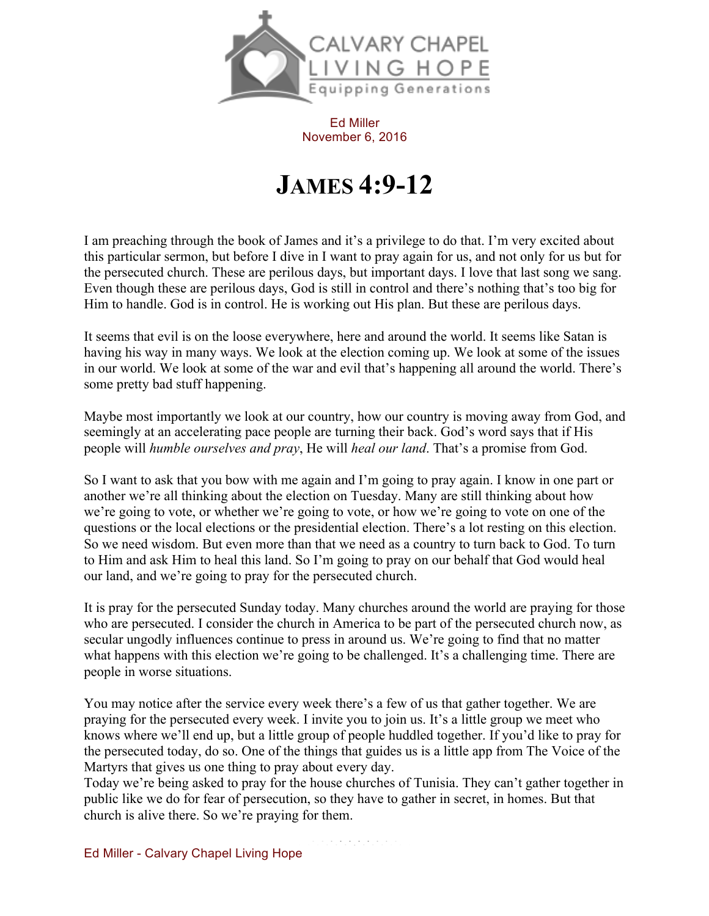

Ed Miller November 6, 2016

## **JAMES 4:9-12**

I am preaching through the book of James and it's a privilege to do that. I'm very excited about this particular sermon, but before I dive in I want to pray again for us, and not only for us but for the persecuted church. These are perilous days, but important days. I love that last song we sang. Even though these are perilous days, God is still in control and there's nothing that's too big for Him to handle. God is in control. He is working out His plan. But these are perilous days.

It seems that evil is on the loose everywhere, here and around the world. It seems like Satan is having his way in many ways. We look at the election coming up. We look at some of the issues in our world. We look at some of the war and evil that's happening all around the world. There's some pretty bad stuff happening.

Maybe most importantly we look at our country, how our country is moving away from God, and seemingly at an accelerating pace people are turning their back. God's word says that if His people will *humble ourselves and pray*, He will *heal our land*. That's a promise from God.

So I want to ask that you bow with me again and I'm going to pray again. I know in one part or another we're all thinking about the election on Tuesday. Many are still thinking about how we're going to vote, or whether we're going to vote, or how we're going to vote on one of the questions or the local elections or the presidential election. There's a lot resting on this election. So we need wisdom. But even more than that we need as a country to turn back to God. To turn to Him and ask Him to heal this land. So I'm going to pray on our behalf that God would heal our land, and we're going to pray for the persecuted church.

It is pray for the persecuted Sunday today. Many churches around the world are praying for those who are persecuted. I consider the church in America to be part of the persecuted church now, as secular ungodly influences continue to press in around us. We're going to find that no matter what happens with this election we're going to be challenged. It's a challenging time. There are people in worse situations.

You may notice after the service every week there's a few of us that gather together. We are praying for the persecuted every week. I invite you to join us. It's a little group we meet who knows where we'll end up, but a little group of people huddled together. If you'd like to pray for the persecuted today, do so. One of the things that guides us is a little app from The Voice of the Martyrs that gives us one thing to pray about every day.

Today we're being asked to pray for the house churches of Tunisia. They can't gather together in public like we do for fear of persecution, so they have to gather in secret, in homes. But that church is alive there. So we're praying for them.

Ed Miller - Calvary Chapel Living Hope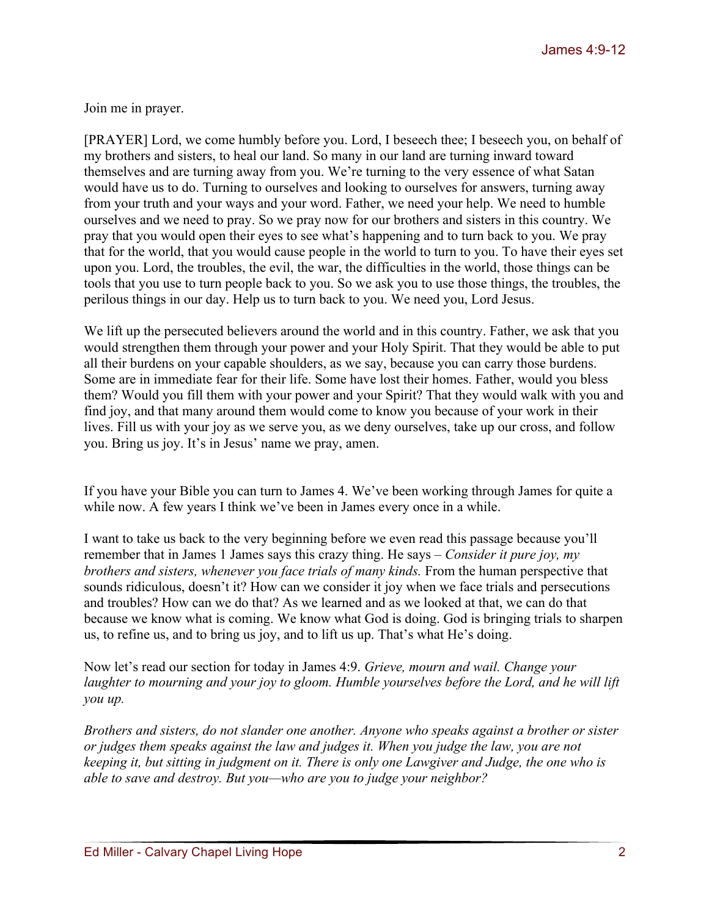Join me in prayer.

[PRAYER] Lord, we come humbly before you. Lord, I beseech thee; I beseech you, on behalf of my brothers and sisters, to heal our land. So many in our land are turning inward toward themselves and are turning away from you. We're turning to the very essence of what Satan would have us to do. Turning to ourselves and looking to ourselves for answers, turning away from your truth and your ways and your word. Father, we need your help. We need to humble ourselves and we need to pray. So we pray now for our brothers and sisters in this country. We pray that you would open their eyes to see what's happening and to turn back to you. We pray that for the world, that you would cause people in the world to turn to you. To have their eyes set upon you. Lord, the troubles, the evil, the war, the difficulties in the world, those things can be tools that you use to turn people back to you. So we ask you to use those things, the troubles, the perilous things in our day. Help us to turn back to you. We need you, Lord Jesus.

We lift up the persecuted believers around the world and in this country. Father, we ask that you would strengthen them through your power and your Holy Spirit. That they would be able to put all their burdens on your capable shoulders, as we say, because you can carry those burdens. Some are in immediate fear for their life. Some have lost their homes. Father, would you bless them? Would you fill them with your power and your Spirit? That they would walk with you and find joy, and that many around them would come to know you because of your work in their lives. Fill us with your joy as we serve you, as we deny ourselves, take up our cross, and follow you. Bring us joy. It's in Jesus' name we pray, amen.

If you have your Bible you can turn to James 4. We've been working through James for quite a while now. A few years I think we've been in James every once in a while.

I want to take us back to the very beginning before we even read this passage because you'll remember that in James 1 James says this crazy thing. He says – *Consider it pure joy, my brothers and sisters, whenever you face trials of many kinds.* From the human perspective that sounds ridiculous, doesn't it? How can we consider it joy when we face trials and persecutions and troubles? How can we do that? As we learned and as we looked at that, we can do that because we know what is coming. We know what God is doing. God is bringing trials to sharpen us, to refine us, and to bring us joy, and to lift us up. That's what He's doing.

Now let's read our section for today in James 4:9. *Grieve, mourn and wail. Change your laughter to mourning and your joy to gloom. Humble yourselves before the Lord, and he will lift you up.*

*Brothers and sisters, do not slander one another. Anyone who speaks against a brother or sister or judges them speaks against the law and judges it. When you judge the law, you are not keeping it, but sitting in judgment on it. There is only one Lawgiver and Judge, the one who is able to save and destroy. But you—who are you to judge your neighbor?*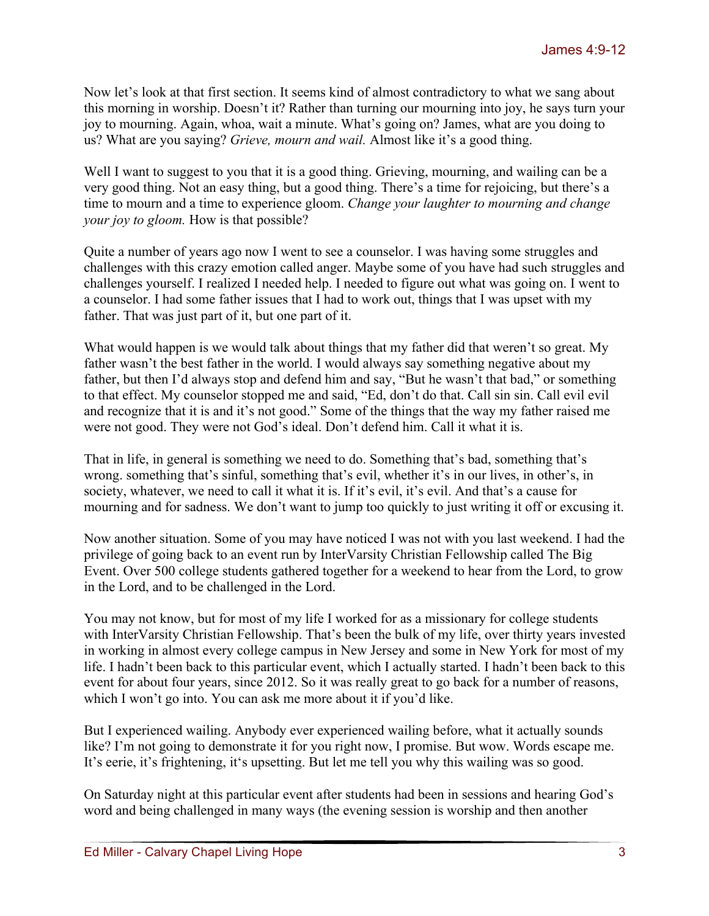Now let's look at that first section. It seems kind of almost contradictory to what we sang about this morning in worship. Doesn't it? Rather than turning our mourning into joy, he says turn your joy to mourning. Again, whoa, wait a minute. What's going on? James, what are you doing to us? What are you saying? *Grieve, mourn and wail.* Almost like it's a good thing.

Well I want to suggest to you that it is a good thing. Grieving, mourning, and wailing can be a very good thing. Not an easy thing, but a good thing. There's a time for rejoicing, but there's a time to mourn and a time to experience gloom. *Change your laughter to mourning and change your joy to gloom.* How is that possible?

Quite a number of years ago now I went to see a counselor. I was having some struggles and challenges with this crazy emotion called anger. Maybe some of you have had such struggles and challenges yourself. I realized I needed help. I needed to figure out what was going on. I went to a counselor. I had some father issues that I had to work out, things that I was upset with my father. That was just part of it, but one part of it.

What would happen is we would talk about things that my father did that weren't so great. My father wasn't the best father in the world. I would always say something negative about my father, but then I'd always stop and defend him and say, "But he wasn't that bad," or something to that effect. My counselor stopped me and said, "Ed, don't do that. Call sin sin. Call evil evil and recognize that it is and it's not good." Some of the things that the way my father raised me were not good. They were not God's ideal. Don't defend him. Call it what it is.

That in life, in general is something we need to do. Something that's bad, something that's wrong. something that's sinful, something that's evil, whether it's in our lives, in other's, in society, whatever, we need to call it what it is. If it's evil, it's evil. And that's a cause for mourning and for sadness. We don't want to jump too quickly to just writing it off or excusing it.

Now another situation. Some of you may have noticed I was not with you last weekend. I had the privilege of going back to an event run by InterVarsity Christian Fellowship called The Big Event. Over 500 college students gathered together for a weekend to hear from the Lord, to grow in the Lord, and to be challenged in the Lord.

You may not know, but for most of my life I worked for as a missionary for college students with InterVarsity Christian Fellowship. That's been the bulk of my life, over thirty years invested in working in almost every college campus in New Jersey and some in New York for most of my life. I hadn't been back to this particular event, which I actually started. I hadn't been back to this event for about four years, since 2012. So it was really great to go back for a number of reasons, which I won't go into. You can ask me more about it if you'd like.

But I experienced wailing. Anybody ever experienced wailing before, what it actually sounds like? I'm not going to demonstrate it for you right now, I promise. But wow. Words escape me. It's eerie, it's frightening, it's upsetting. But let me tell you why this wailing was so good.

On Saturday night at this particular event after students had been in sessions and hearing God's word and being challenged in many ways (the evening session is worship and then another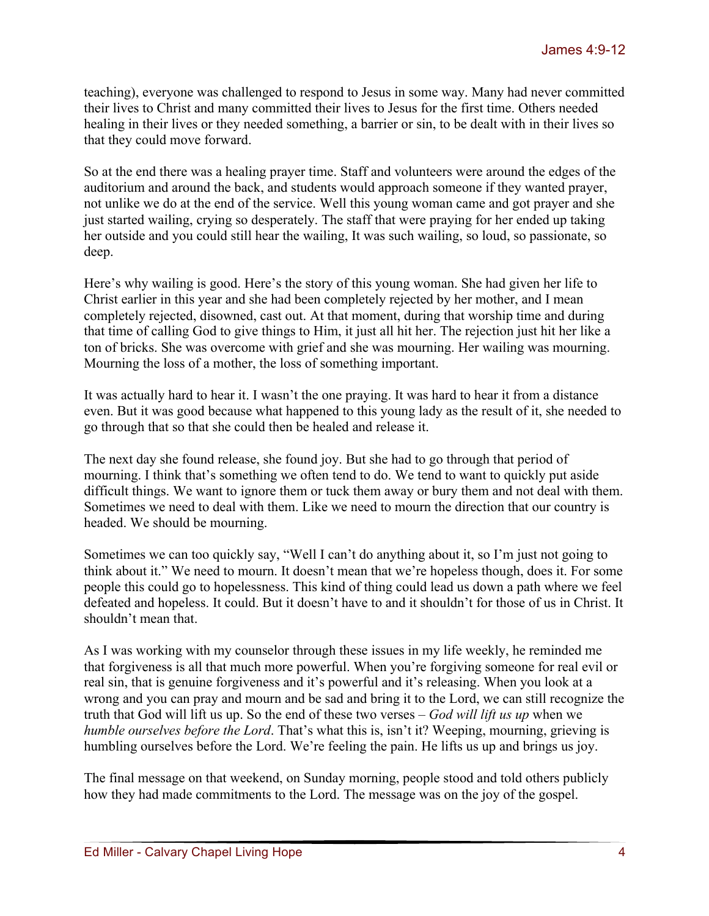teaching), everyone was challenged to respond to Jesus in some way. Many had never committed their lives to Christ and many committed their lives to Jesus for the first time. Others needed healing in their lives or they needed something, a barrier or sin, to be dealt with in their lives so that they could move forward.

So at the end there was a healing prayer time. Staff and volunteers were around the edges of the auditorium and around the back, and students would approach someone if they wanted prayer, not unlike we do at the end of the service. Well this young woman came and got prayer and she just started wailing, crying so desperately. The staff that were praying for her ended up taking her outside and you could still hear the wailing, It was such wailing, so loud, so passionate, so deep.

Here's why wailing is good. Here's the story of this young woman. She had given her life to Christ earlier in this year and she had been completely rejected by her mother, and I mean completely rejected, disowned, cast out. At that moment, during that worship time and during that time of calling God to give things to Him, it just all hit her. The rejection just hit her like a ton of bricks. She was overcome with grief and she was mourning. Her wailing was mourning. Mourning the loss of a mother, the loss of something important.

It was actually hard to hear it. I wasn't the one praying. It was hard to hear it from a distance even. But it was good because what happened to this young lady as the result of it, she needed to go through that so that she could then be healed and release it.

The next day she found release, she found joy. But she had to go through that period of mourning. I think that's something we often tend to do. We tend to want to quickly put aside difficult things. We want to ignore them or tuck them away or bury them and not deal with them. Sometimes we need to deal with them. Like we need to mourn the direction that our country is headed. We should be mourning.

Sometimes we can too quickly say, "Well I can't do anything about it, so I'm just not going to think about it." We need to mourn. It doesn't mean that we're hopeless though, does it. For some people this could go to hopelessness. This kind of thing could lead us down a path where we feel defeated and hopeless. It could. But it doesn't have to and it shouldn't for those of us in Christ. It shouldn't mean that.

As I was working with my counselor through these issues in my life weekly, he reminded me that forgiveness is all that much more powerful. When you're forgiving someone for real evil or real sin, that is genuine forgiveness and it's powerful and it's releasing. When you look at a wrong and you can pray and mourn and be sad and bring it to the Lord, we can still recognize the truth that God will lift us up. So the end of these two verses – *God will lift us up* when we *humble ourselves before the Lord*. That's what this is, isn't it? Weeping, mourning, grieving is humbling ourselves before the Lord. We're feeling the pain. He lifts us up and brings us joy.

The final message on that weekend, on Sunday morning, people stood and told others publicly how they had made commitments to the Lord. The message was on the joy of the gospel.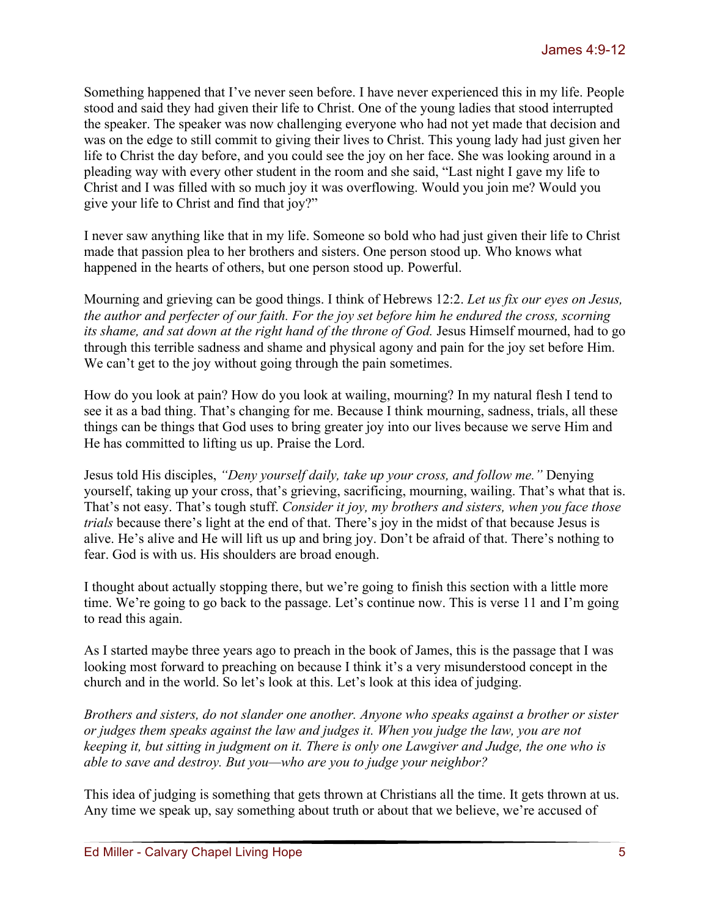Something happened that I've never seen before. I have never experienced this in my life. People stood and said they had given their life to Christ. One of the young ladies that stood interrupted the speaker. The speaker was now challenging everyone who had not yet made that decision and was on the edge to still commit to giving their lives to Christ. This young lady had just given her life to Christ the day before, and you could see the joy on her face. She was looking around in a pleading way with every other student in the room and she said, "Last night I gave my life to Christ and I was filled with so much joy it was overflowing. Would you join me? Would you give your life to Christ and find that joy?"

I never saw anything like that in my life. Someone so bold who had just given their life to Christ made that passion plea to her brothers and sisters. One person stood up. Who knows what happened in the hearts of others, but one person stood up. Powerful.

Mourning and grieving can be good things. I think of Hebrews 12:2. *Let us fix our eyes on Jesus, the author and perfecter of our faith. For the joy set before him he endured the cross, scorning its shame, and sat down at the right hand of the throne of God.* Jesus Himself mourned, had to go through this terrible sadness and shame and physical agony and pain for the joy set before Him. We can't get to the joy without going through the pain sometimes.

How do you look at pain? How do you look at wailing, mourning? In my natural flesh I tend to see it as a bad thing. That's changing for me. Because I think mourning, sadness, trials, all these things can be things that God uses to bring greater joy into our lives because we serve Him and He has committed to lifting us up. Praise the Lord.

Jesus told His disciples, *"Deny yourself daily, take up your cross, and follow me."* Denying yourself, taking up your cross, that's grieving, sacrificing, mourning, wailing. That's what that is. That's not easy. That's tough stuff. *Consider it joy, my brothers and sisters, when you face those trials* because there's light at the end of that. There's joy in the midst of that because Jesus is alive. He's alive and He will lift us up and bring joy. Don't be afraid of that. There's nothing to fear. God is with us. His shoulders are broad enough.

I thought about actually stopping there, but we're going to finish this section with a little more time. We're going to go back to the passage. Let's continue now. This is verse 11 and I'm going to read this again.

As I started maybe three years ago to preach in the book of James, this is the passage that I was looking most forward to preaching on because I think it's a very misunderstood concept in the church and in the world. So let's look at this. Let's look at this idea of judging.

*Brothers and sisters, do not slander one another. Anyone who speaks against a brother or sister or judges them speaks against the law and judges it. When you judge the law, you are not keeping it, but sitting in judgment on it. There is only one Lawgiver and Judge, the one who is able to save and destroy. But you—who are you to judge your neighbor?*

This idea of judging is something that gets thrown at Christians all the time. It gets thrown at us. Any time we speak up, say something about truth or about that we believe, we're accused of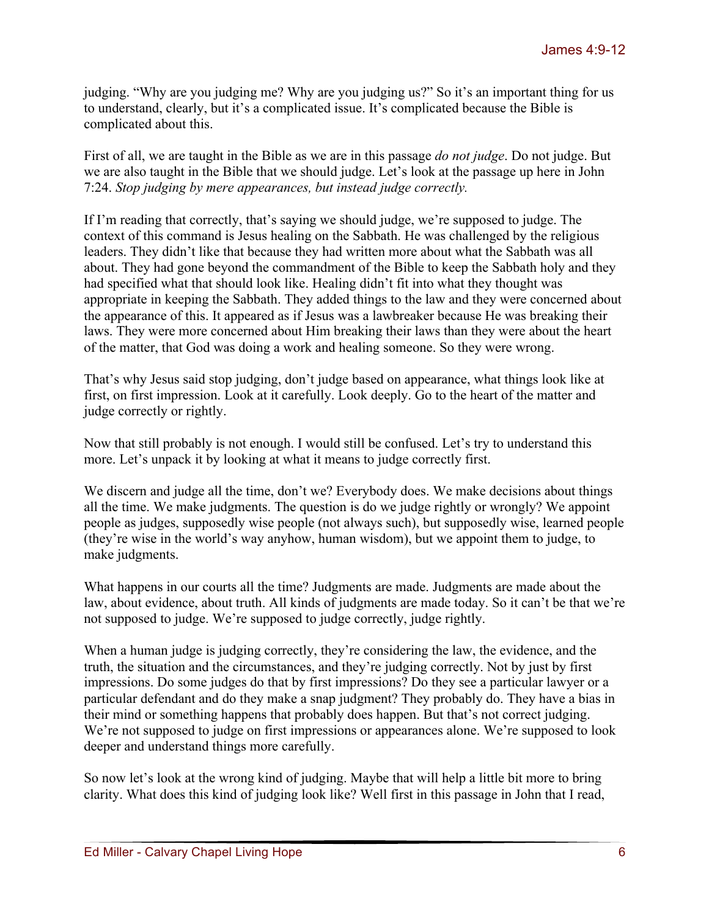judging. "Why are you judging me? Why are you judging us?" So it's an important thing for us to understand, clearly, but it's a complicated issue. It's complicated because the Bible is complicated about this.

First of all, we are taught in the Bible as we are in this passage *do not judge*. Do not judge. But we are also taught in the Bible that we should judge. Let's look at the passage up here in John 7:24. *Stop judging by mere appearances, but instead judge correctly.* 

If I'm reading that correctly, that's saying we should judge, we're supposed to judge. The context of this command is Jesus healing on the Sabbath. He was challenged by the religious leaders. They didn't like that because they had written more about what the Sabbath was all about. They had gone beyond the commandment of the Bible to keep the Sabbath holy and they had specified what that should look like. Healing didn't fit into what they thought was appropriate in keeping the Sabbath. They added things to the law and they were concerned about the appearance of this. It appeared as if Jesus was a lawbreaker because He was breaking their laws. They were more concerned about Him breaking their laws than they were about the heart of the matter, that God was doing a work and healing someone. So they were wrong.

That's why Jesus said stop judging, don't judge based on appearance, what things look like at first, on first impression. Look at it carefully. Look deeply. Go to the heart of the matter and judge correctly or rightly.

Now that still probably is not enough. I would still be confused. Let's try to understand this more. Let's unpack it by looking at what it means to judge correctly first.

We discern and judge all the time, don't we? Everybody does. We make decisions about things all the time. We make judgments. The question is do we judge rightly or wrongly? We appoint people as judges, supposedly wise people (not always such), but supposedly wise, learned people (they're wise in the world's way anyhow, human wisdom), but we appoint them to judge, to make judgments.

What happens in our courts all the time? Judgments are made. Judgments are made about the law, about evidence, about truth. All kinds of judgments are made today. So it can't be that we're not supposed to judge. We're supposed to judge correctly, judge rightly.

When a human judge is judging correctly, they're considering the law, the evidence, and the truth, the situation and the circumstances, and they're judging correctly. Not by just by first impressions. Do some judges do that by first impressions? Do they see a particular lawyer or a particular defendant and do they make a snap judgment? They probably do. They have a bias in their mind or something happens that probably does happen. But that's not correct judging. We're not supposed to judge on first impressions or appearances alone. We're supposed to look deeper and understand things more carefully.

So now let's look at the wrong kind of judging. Maybe that will help a little bit more to bring clarity. What does this kind of judging look like? Well first in this passage in John that I read,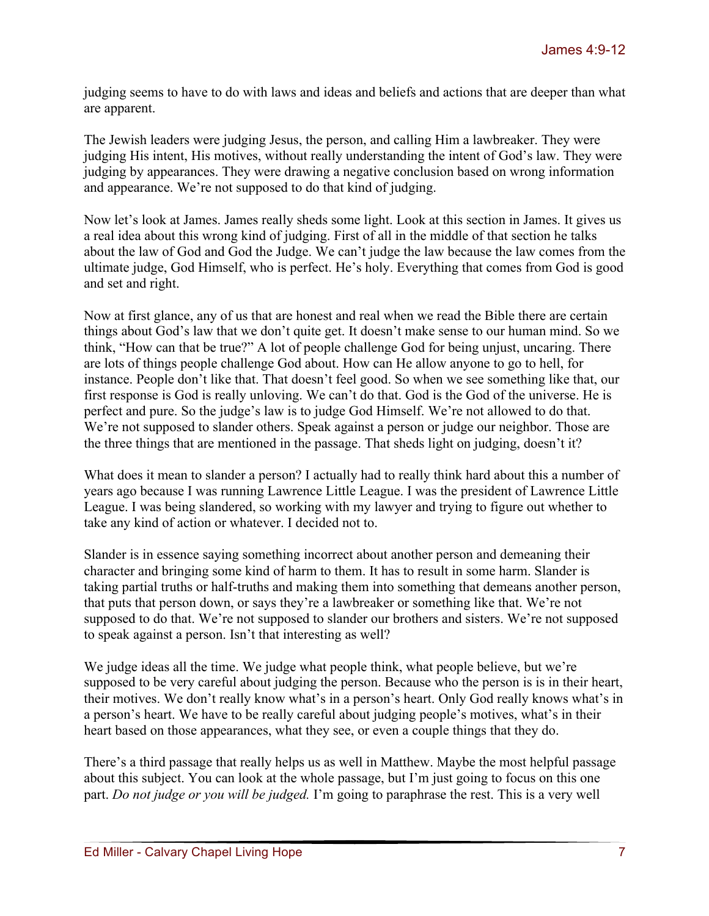judging seems to have to do with laws and ideas and beliefs and actions that are deeper than what are apparent.

The Jewish leaders were judging Jesus, the person, and calling Him a lawbreaker. They were judging His intent, His motives, without really understanding the intent of God's law. They were judging by appearances. They were drawing a negative conclusion based on wrong information and appearance. We're not supposed to do that kind of judging.

Now let's look at James. James really sheds some light. Look at this section in James. It gives us a real idea about this wrong kind of judging. First of all in the middle of that section he talks about the law of God and God the Judge. We can't judge the law because the law comes from the ultimate judge, God Himself, who is perfect. He's holy. Everything that comes from God is good and set and right.

Now at first glance, any of us that are honest and real when we read the Bible there are certain things about God's law that we don't quite get. It doesn't make sense to our human mind. So we think, "How can that be true?" A lot of people challenge God for being unjust, uncaring. There are lots of things people challenge God about. How can He allow anyone to go to hell, for instance. People don't like that. That doesn't feel good. So when we see something like that, our first response is God is really unloving. We can't do that. God is the God of the universe. He is perfect and pure. So the judge's law is to judge God Himself. We're not allowed to do that. We're not supposed to slander others. Speak against a person or judge our neighbor. Those are the three things that are mentioned in the passage. That sheds light on judging, doesn't it?

What does it mean to slander a person? I actually had to really think hard about this a number of years ago because I was running Lawrence Little League. I was the president of Lawrence Little League. I was being slandered, so working with my lawyer and trying to figure out whether to take any kind of action or whatever. I decided not to.

Slander is in essence saying something incorrect about another person and demeaning their character and bringing some kind of harm to them. It has to result in some harm. Slander is taking partial truths or half-truths and making them into something that demeans another person, that puts that person down, or says they're a lawbreaker or something like that. We're not supposed to do that. We're not supposed to slander our brothers and sisters. We're not supposed to speak against a person. Isn't that interesting as well?

We judge ideas all the time. We judge what people think, what people believe, but we're supposed to be very careful about judging the person. Because who the person is is in their heart, their motives. We don't really know what's in a person's heart. Only God really knows what's in a person's heart. We have to be really careful about judging people's motives, what's in their heart based on those appearances, what they see, or even a couple things that they do.

There's a third passage that really helps us as well in Matthew. Maybe the most helpful passage about this subject. You can look at the whole passage, but I'm just going to focus on this one part. *Do not judge or you will be judged.* I'm going to paraphrase the rest. This is a very well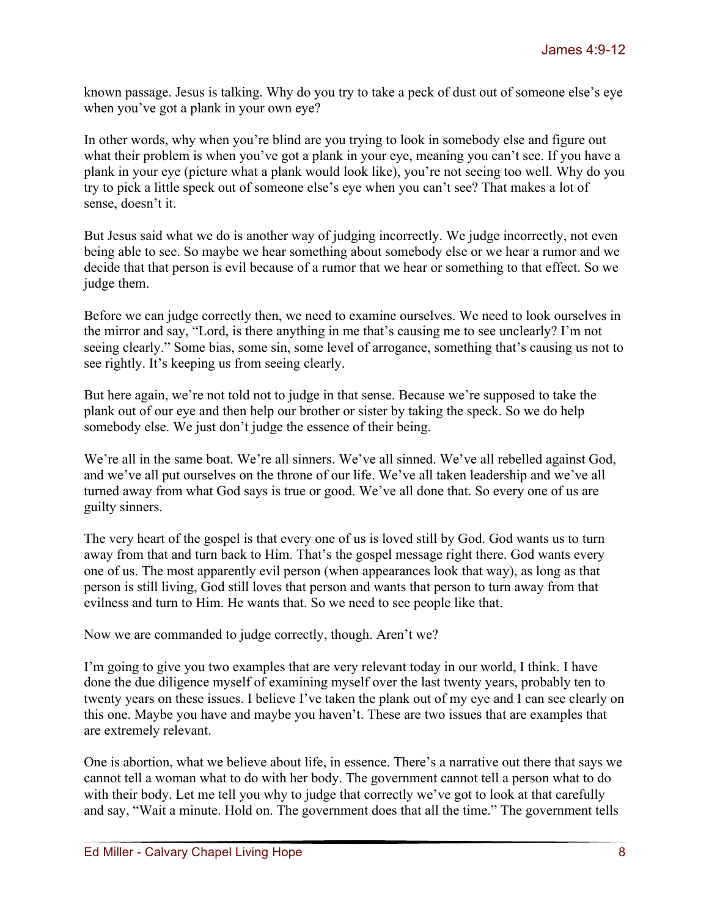known passage. Jesus is talking. Why do you try to take a peck of dust out of someone else's eye when you've got a plank in your own eye?

In other words, why when you're blind are you trying to look in somebody else and figure out what their problem is when you've got a plank in your eye, meaning you can't see. If you have a plank in your eye (picture what a plank would look like), you're not seeing too well. Why do you try to pick a little speck out of someone else's eye when you can't see? That makes a lot of sense, doesn't it.

But Jesus said what we do is another way of judging incorrectly. We judge incorrectly, not even being able to see. So maybe we hear something about somebody else or we hear a rumor and we decide that that person is evil because of a rumor that we hear or something to that effect. So we judge them.

Before we can judge correctly then, we need to examine ourselves. We need to look ourselves in the mirror and say, "Lord, is there anything in me that's causing me to see unclearly? I'm not seeing clearly." Some bias, some sin, some level of arrogance, something that's causing us not to see rightly. It's keeping us from seeing clearly.

But here again, we're not told not to judge in that sense. Because we're supposed to take the plank out of our eye and then help our brother or sister by taking the speck. So we do help somebody else. We just don't judge the essence of their being.

We're all in the same boat. We're all sinners. We've all sinned. We've all rebelled against God, and we've all put ourselves on the throne of our life. We've all taken leadership and we've all turned away from what God says is true or good. We've all done that. So every one of us are guilty sinners.

The very heart of the gospel is that every one of us is loved still by God. God wants us to turn away from that and turn back to Him. That's the gospel message right there. God wants every one of us. The most apparently evil person (when appearances look that way), as long as that person is still living, God still loves that person and wants that person to turn away from that evilness and turn to Him. He wants that. So we need to see people like that.

Now we are commanded to judge correctly, though. Aren't we?

I'm going to give you two examples that are very relevant today in our world, I think. I have done the due diligence myself of examining myself over the last twenty years, probably ten to twenty years on these issues. I believe I've taken the plank out of my eye and I can see clearly on this one. Maybe you have and maybe you haven't. These are two issues that are examples that are extremely relevant.

One is abortion, what we believe about life, in essence. There's a narrative out there that says we cannot tell a woman what to do with her body. The government cannot tell a person what to do with their body. Let me tell you why to judge that correctly we've got to look at that carefully and say, "Wait a minute. Hold on. The government does that all the time." The government tells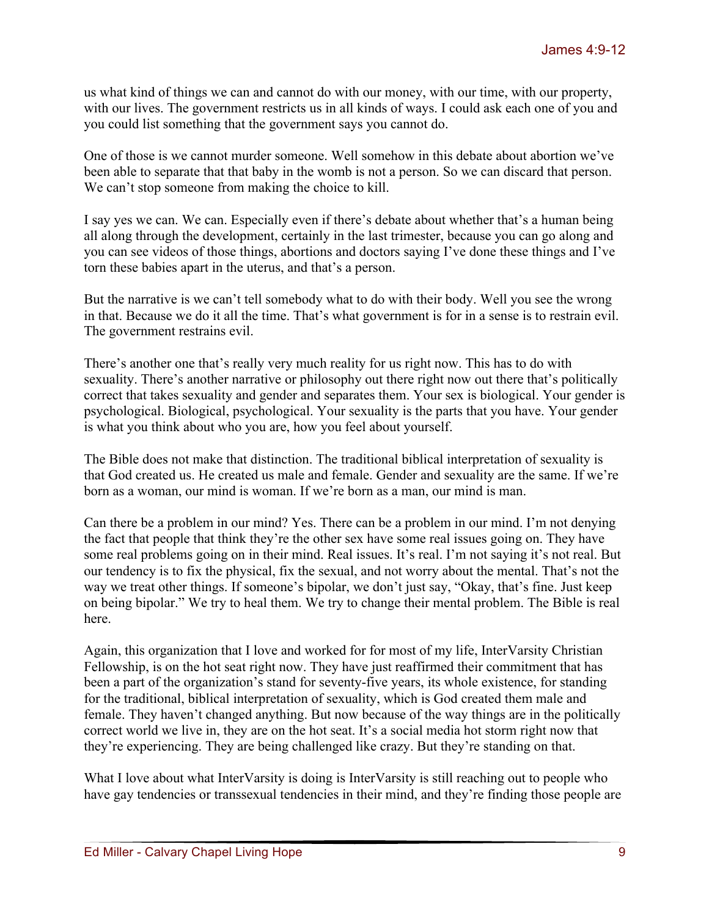us what kind of things we can and cannot do with our money, with our time, with our property, with our lives. The government restricts us in all kinds of ways. I could ask each one of you and you could list something that the government says you cannot do.

One of those is we cannot murder someone. Well somehow in this debate about abortion we've been able to separate that that baby in the womb is not a person. So we can discard that person. We can't stop someone from making the choice to kill.

I say yes we can. We can. Especially even if there's debate about whether that's a human being all along through the development, certainly in the last trimester, because you can go along and you can see videos of those things, abortions and doctors saying I've done these things and I've torn these babies apart in the uterus, and that's a person.

But the narrative is we can't tell somebody what to do with their body. Well you see the wrong in that. Because we do it all the time. That's what government is for in a sense is to restrain evil. The government restrains evil.

There's another one that's really very much reality for us right now. This has to do with sexuality. There's another narrative or philosophy out there right now out there that's politically correct that takes sexuality and gender and separates them. Your sex is biological. Your gender is psychological. Biological, psychological. Your sexuality is the parts that you have. Your gender is what you think about who you are, how you feel about yourself.

The Bible does not make that distinction. The traditional biblical interpretation of sexuality is that God created us. He created us male and female. Gender and sexuality are the same. If we're born as a woman, our mind is woman. If we're born as a man, our mind is man.

Can there be a problem in our mind? Yes. There can be a problem in our mind. I'm not denying the fact that people that think they're the other sex have some real issues going on. They have some real problems going on in their mind. Real issues. It's real. I'm not saying it's not real. But our tendency is to fix the physical, fix the sexual, and not worry about the mental. That's not the way we treat other things. If someone's bipolar, we don't just say, "Okay, that's fine. Just keep on being bipolar." We try to heal them. We try to change their mental problem. The Bible is real here.

Again, this organization that I love and worked for for most of my life, InterVarsity Christian Fellowship, is on the hot seat right now. They have just reaffirmed their commitment that has been a part of the organization's stand for seventy-five years, its whole existence, for standing for the traditional, biblical interpretation of sexuality, which is God created them male and female. They haven't changed anything. But now because of the way things are in the politically correct world we live in, they are on the hot seat. It's a social media hot storm right now that they're experiencing. They are being challenged like crazy. But they're standing on that.

What I love about what InterVarsity is doing is InterVarsity is still reaching out to people who have gay tendencies or transsexual tendencies in their mind, and they're finding those people are